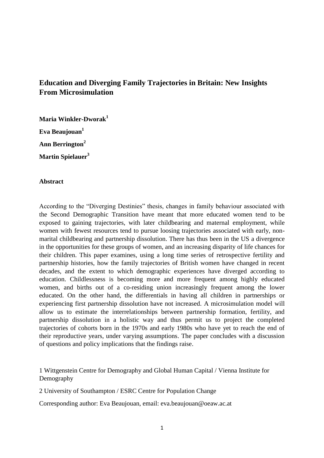# **Education and Diverging Family Trajectories in Britain: New Insights From Microsimulation**

**Maria Winkler-Dworak<sup>1</sup> Eva Beaujouan<sup>1</sup> Ann Berrington<sup>2</sup> Martin Spielauer<sup>3</sup>**

# **Abstract**

According to the "Diverging Destinies" thesis, changes in family behaviour associated with the Second Demographic Transition have meant that more educated women tend to be exposed to gaining trajectories, with later childbearing and maternal employment, while women with fewest resources tend to pursue loosing trajectories associated with early, nonmarital childbearing and partnership dissolution. There has thus been in the US a divergence in the opportunities for these groups of women, and an increasing disparity of life chances for their children. This paper examines, using a long time series of retrospective fertility and partnership histories, how the family trajectories of British women have changed in recent decades, and the extent to which demographic experiences have diverged according to education. Childlessness is becoming more and more frequent among highly educated women, and births out of a co-residing union increasingly frequent among the lower educated. On the other hand, the differentials in having all children in partnerships or experiencing first partnership dissolution have not increased. A microsimulation model will allow us to estimate the interrelationships between partnership formation, fertility, and partnership dissolution in a holistic way and thus permit us to project the completed trajectories of cohorts born in the 1970s and early 1980s who have yet to reach the end of their reproductive years, under varying assumptions. The paper concludes with a discussion of questions and policy implications that the findings raise.

1 Wittgenstein Centre for Demography and Global Human Capital / Vienna Institute for Demography

2 University of Southampton / ESRC Centre for Population Change

Corresponding author: Eva Beaujouan, email: eva.beaujouan@oeaw.ac.at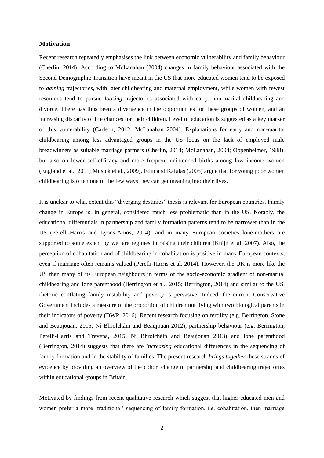# **Motivation**

Recent research repeatedly emphasises the link between economic vulnerability and family behaviour (Cherlin, 2014). According to McLanahan (2004) changes in family behaviour associated with the Second Demographic Transition have meant in the US that more educated women tend to be exposed to *gaining* trajectories, with later childbearing and maternal employment, while women with fewest resources tend to pursue *loosing* trajectories associated with early, non-marital childbearing and divorce. There has thus been a divergence in the opportunities for these groups of women, and an increasing disparity of life chances for their children. Level of education is suggested as a key marker of this vulnerability (Carlson, 2012; McLanahan 2004). Explanations for early and non-marital childbearing among less advantaged groups in the US focus on the lack of employed male breadwinners as suitable marriage partners (Cherlin, 2014; McLanahan, 2004; Oppenheimer, 1988), but also on lower self-efficacy and more frequent unintended births among low income women (England et al., 2011; Musick et al., 2009). Edin and Kafalas (2005) argue that for young poor women childbearing is often one of the few ways they can get meaning into their lives.

It is unclear to what extent this "diverging destinies" thesis is relevant for European countries. Family change in Europe is, in general, considered much less problematic than in the US. Notably, the educational differentials in partnership and family formation patterns tend to be narrower than in the US (Perelli-Harris and Lyons-Amos, 2014), and in many European societies lone-mothers are supported to some extent by welfare regimes in raising their children (Knijn et al. 2007). Also, the perception of cohabitation and of childbearing in cohabitation is positive in many European contexts, even if marriage often remains valued (Perelli-Harris et al. 2014). However, the UK is more like the US than many of its European neighbours in terms of the socio-economic gradient of non-marital childbearing and lone parenthood (Berrington et al., 2015; Berrington, 2014) and similar to the US, rhetoric conflating family instability and poverty is pervasive. Indeed, the current Conservative Government includes a measure of the proportion of children not living with two biological parents in their indicators of poverty (DWP, 2016). Recent research focusing on fertility (e.g. Berrington, Stone and Beaujouan, 2015; Ní Bhrolcháin and Beaujouan 2012), partnership behaviour (e.g. Berrington, Perelli-Harris and Trevena, 2015; Ní Bhrolcháin and Beaujouan 2013) and lone parenthood (Berrington, 2014) suggests that there are *increasing* educational differences in the sequencing of family formation and in the stability of families. The present research *brings together* these strands of evidence by providing an overview of the cohort change in partnership and childbearing trajectories within educational groups in Britain.

Motivated by findings from recent qualitative research which suggest that higher educated men and women prefer a more 'traditional' sequencing of family formation, i.e. cohabitation, then marriage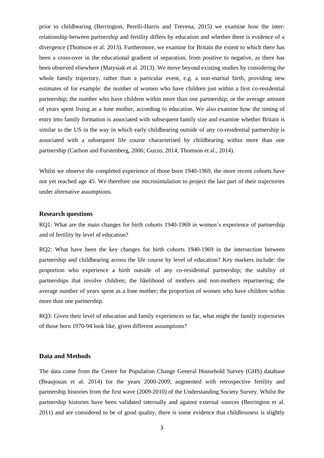prior to childbearing (Berrington, Perelli-Harris and Trevena, 2015) we examine how the interrelationship between partnership and fertility differs by education and whether there is evidence of a divergence (Thomson et al. 2013). Furthermore, we examine for Britain the extent to which there has been a cross-over in the educational gradient of separation, from positive to negative, as there has been observed elsewhere (Matysiak et al. 2013). We move beyond existing studies by considering the whole family trajectory, rather than a particular event, e.g. a non-marital birth, providing new estimates of for example: the number of women who have children just within a first co-residential partnership; the number who have children within more than one partnership; or the average amount of years spent living as a lone mother, according to education. We also examine how the timing of entry into family formation is associated with subsequent family size and examine whether Britain is similar to the US in the way in which early childbearing outside of any co-residential partnership is associated with a subsequent life course characterised by childbearing within more than one partnership (Carlson and Furstenberg, 2006; Guzzo, 2014; Thomson et al., 2014).

Whilst we observe the completed experience of those born 1940-1969, the more recent cohorts have not yet reached age 45. We therefore use microsimulation to project the last part of their trajectories under alternative assumptions.

### **Research questions**

RQ1: What are the main changes for birth cohorts 1940-1969 in women's experience of partnership and of fertility by level of education?

RQ2: What have been the key changes for birth cohorts 1940-1969 in the intersection between partnership and childbearing across the life course by level of education? Key markers include: the proportion who experience a birth outside of any co-residential partnership; the stability of partnerships that involve children; the likelihood of mothers and non-mothers repartnering; the average number of years spent as a lone mother; the proportion of women who have children within more than one partnership.

RQ3: Given their level of education and family experiences so far, what might the family trajectories of those born 1970-94 look like, given different assumptions?

# **Data and Methods**

The data come from the Centre for Population Change General Household Survey (GHS) database (Beaujouan et al. 2014) for the years 2000-2009, augmented with retrospective fertility and partnership histories from the first wave (2009-2010) of the Understanding Society Survey. Whilst the partnership histories have been validated internally and against external sources (Berrington et al. 2011) and are considered to be of good quality, there is some evidence that childlessness is slightly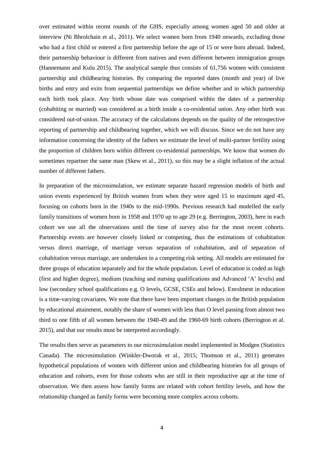over estimated within recent rounds of the GHS, especially among women aged 50 and older at interview (Ni Bhrolchain et al., 2011). We select women born from 1940 onwards, excluding those who had a first child or entered a first partnership before the age of 15 or were born abroad. Indeed, their partnership behaviour is different from natives and even different between immigration groups (Hannemann and Kulu 2015). The analytical sample thus consists of 61,756 women with consistent partnership and childbearing histories. By comparing the reported dates (month and year) of live births and entry and exits from sequential partnerships we define whether and in which partnership each birth took place. Any birth whose date was comprised within the dates of a partnership (cohabiting or married) was considered as a birth inside a co-residential union. Any other birth was considered out-of-union. The accuracy of the calculations depends on the quality of the retrospective reporting of partnership and childbearing together, which we will discuss. Since we do not have any information concerning the identity of the fathers we estimate the level of multi-partner fertility using the proportion of children born within different co-residential partnerships. We know that women do sometimes repartner the same man (Skew et al., 2011), so this may be a slight inflation of the actual number of different fathers.

In preparation of the microsimulation, we estimate separate hazard regression models of birth and union events experienced by British women from when they were aged 15 to maximum aged 45, focusing on cohorts born in the 1940s to the mid-1990s. Previous research had modelled the early family transitions of women born in 1958 and 1970 up to age 29 (e.g. Berrington, 2003), here in each cohort we use all the observations until the time of survey also for the most recent cohorts. Partnership events are however closely linked or competing, thus the estimations of cohabitation versus direct marriage, of marriage versus separation of cohabitation, and of separation of cohabitation versus marriage, are undertaken in a competing risk setting. All models are estimated for three groups of education separately and for the whole population. Level of education is coded as high (first and higher degree), medium (teaching and nursing qualifications and Advanced 'A' levels) and low (secondary school qualifications e.g. O levels, GCSE, CSEs and below). Enrolment in education is a time-varying covariates. We note that there have been important changes in the British population by educational attainment, notably the share of women with less than O level passing from almost two third to one fifth of all women between the 1940-49 and the 1960-69 birth cohorts (Berrington et al. 2015), and that our results must be interpreted accordingly.

The results then serve as parameters to our microsimulation model implemented in Modgen (Statistics Canada). The microsimulation (Winkler-Dworak et al., 2015; Thomson et al., 2011) generates hypothetical populations of women with different union and childbearing histories for all groups of education and cohorts, even for those cohorts who are still in their reproductive age at the time of observation. We then assess how family forms are related with cohort fertility levels, and how the relationship changed as family forms were becoming more complex across cohorts.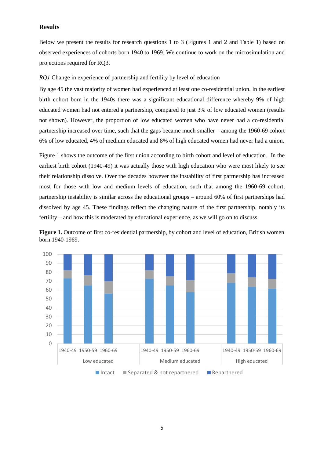# **Results**

Below we present the results for research questions 1 to 3 (Figures 1 and 2 and Table 1) based on observed experiences of cohorts born 1940 to 1969. We continue to work on the microsimulation and projections required for RQ3.

*RQ1* Change in experience of partnership and fertility by level of education

By age 45 the vast majority of women had experienced at least one co-residential union. In the earliest birth cohort born in the 1940s there was a significant educational difference whereby 9% of high educated women had not entered a partnership, compared to just 3% of low educated women (results not shown). However, the proportion of low educated women who have never had a co-residential partnership increased over time, such that the gaps became much smaller – among the 1960-69 cohort 6% of low educated, 4% of medium educated and 8% of high educated women had never had a union.

Figure 1 shows the outcome of the first union according to birth cohort and level of education. In the earliest birth cohort (1940-49) it was actually those with high education who were most likely to see their relationship dissolve. Over the decades however the instability of first partnership has increased most for those with low and medium levels of education, such that among the 1960-69 cohort, partnership instability is similar across the educational groups – around 60% of first partnerships had dissolved by age 45. These findings reflect the changing nature of the first partnership, notably its fertility – and how this is moderated by educational experience, as we will go on to discuss.



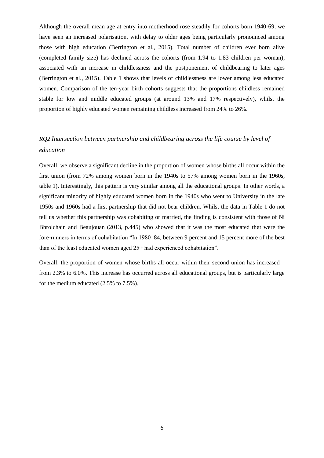Although the overall mean age at entry into motherhood rose steadily for cohorts born 1940-69, we have seen an increased polarisation, with delay to older ages being particularly pronounced among those with high education (Berrington et al., 2015). Total number of children ever born alive (completed family size) has declined across the cohorts (from 1.94 to 1.83 children per woman), associated with an increase in childlessness and the postponement of childbearing to later ages (Berrington et al., 2015). Table 1 shows that levels of childlessness are lower among less educated women. Comparison of the ten-year birth cohorts suggests that the proportions childless remained stable for low and middle educated groups (at around 13% and 17% respectively), whilst the proportion of highly educated women remaining childless increased from 24% to 26%.

# *RQ2 Intersection between partnership and childbearing across the life course by level of education*

Overall, we observe a significant decline in the proportion of women whose births all occur within the first union (from 72% among women born in the 1940s to 57% among women born in the 1960s, table 1). Interestingly, this pattern is very similar among all the educational groups. In other words, a significant minority of highly educated women born in the 1940s who went to University in the late 1950s and 1960s had a first partnership that did not bear children. Whilst the data in Table 1 do not tell us whether this partnership was cohabiting or married, the finding is consistent with those of Ni Bhrolchain and Beaujouan (2013, p.445) who showed that it was the most educated that were the fore-runners in terms of cohabitation "In 1980–84, between 9 percent and 15 percent more of the best than of the least educated women aged 25+ had experienced cohabitation".

Overall, the proportion of women whose births all occur within their second union has increased – from 2.3% to 6.0%. This increase has occurred across all educational groups, but is particularly large for the medium educated (2.5% to 7.5%).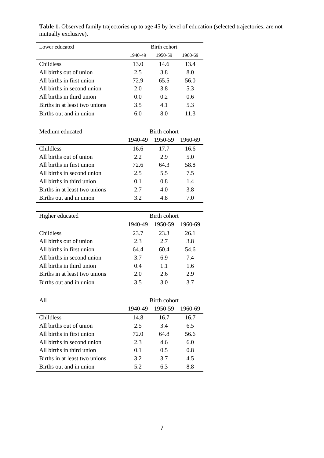Table 1. Observed family trajectories up to age 45 by level of education (selected trajectories, are not mutually exclusive).

| Lower educated                | Birth cohort |         |         |  |
|-------------------------------|--------------|---------|---------|--|
|                               | 1940-49      | 1950-59 | 1960-69 |  |
| Childless                     | 13.0         | 14.6    | 13.4    |  |
| All births out of union       | 2.5          | 3.8     | 8.0     |  |
| All births in first union     | 72.9         | 65.5    | 56.0    |  |
| All births in second union    | 2.0          | 3.8     | 5.3     |  |
| All births in third union     | 0.0          | 0.2     | 0.6     |  |
| Births in at least two unions | 3.5          | 4.1     | 5.3     |  |
| Births out and in union       | 6.0          | 8.0     | 11.3    |  |

| Medium educated               | Birth cohort   |         |         |
|-------------------------------|----------------|---------|---------|
|                               | 1940-49        | 1950-59 | 1960-69 |
| <b>Childless</b>              | 16.6           | 17.7    | 16.6    |
| All births out of union       | 2.2            | 2.9     | 5.0     |
| All births in first union     | 72.6           | 64.3    | 58.8    |
| All births in second union    | 2.5            | 5.5     | 7.5     |
| All births in third union     | 0 <sub>1</sub> | 0.8     | 1.4     |
| Births in at least two unions | 2.7            | 4.0     | 3.8     |
| Births out and in union       | 3.2            | 4.8     | 7.0     |

| Higher educated               | Birth cohort |         |         |
|-------------------------------|--------------|---------|---------|
|                               | 1940-49      | 1950-59 | 1960-69 |
| <b>Childless</b>              | 23.7         | 23.3    | 26.1    |
| All births out of union       | 2.3          | 2.7     | 3.8     |
| All births in first union     | 64.4         | 60.4    | 54.6    |
| All births in second union    | 3.7          | 6.9     | 7.4     |
| All births in third union     | 0.4          | 11      | 1.6     |
| Births in at least two unions | 2.0          | 2.6     | 2.9     |
| Births out and in union       | 3.5          | 3.0     | 3.7     |

| A11                           | Birth cohort   |         |         |
|-------------------------------|----------------|---------|---------|
|                               | 1940-49        | 1950-59 | 1960-69 |
| <b>Childless</b>              | 14.8           | 16.7    | 16.7    |
| All births out of union       | 2.5            | 3.4     | 6.5     |
| All births in first union     | 72.0           | 64.8    | 56.6    |
| All births in second union    | 2.3            | 4.6     | 6.0     |
| All births in third union     | 0 <sub>1</sub> | 0.5     | 0.8     |
| Births in at least two unions | 3.2            | 3.7     | 4.5     |
| Births out and in union       | 5.2            | 6.3     | 8.8     |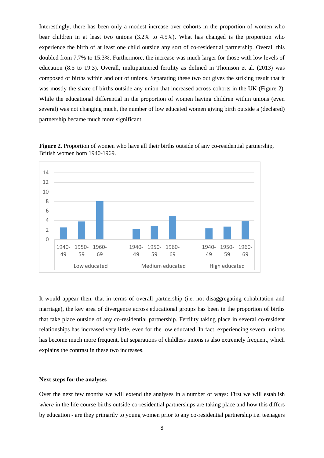Interestingly, there has been only a modest increase over cohorts in the proportion of women who bear children in at least two unions (3.2% to 4.5%). What has changed is the proportion who experience the birth of at least one child outside any sort of co-residential partnership. Overall this doubled from 7.7% to 15.3%. Furthermore, the increase was much larger for those with low levels of education (8.5 to 19.3). Overall, multipartnered fertility as defined in Thomson et al. (2013) was composed of births within and out of unions. Separating these two out gives the striking result that it was mostly the share of births outside any union that increased across cohorts in the UK (Figure 2). While the educational differential in the proportion of women having children within unions (even several) was not changing much, the number of low educated women giving birth outside a (declared) partnership became much more significant.



**Figure 2.** Proportion of women who have all their births outside of any co-residential partnership, British women born 1940-1969.

It would appear then, that in terms of overall partnership (i.e. not disaggregating cohabitation and marriage), the key area of divergence across educational groups has been in the proportion of births that take place outside of any co-residential partnership. Fertility taking place in several co-resident relationships has increased very little, even for the low educated. In fact, experiencing several unions has become much more frequent, but separations of childless unions is also extremely frequent, which explains the contrast in these two increases.

#### **Next steps for the analyses**

Over the next few months we will extend the analyses in a number of ways: First we will establish *where* in the life course births outside co-residential partnerships are taking place and how this differs by education - are they primarily to young women prior to any co-residential partnership i.e. teenagers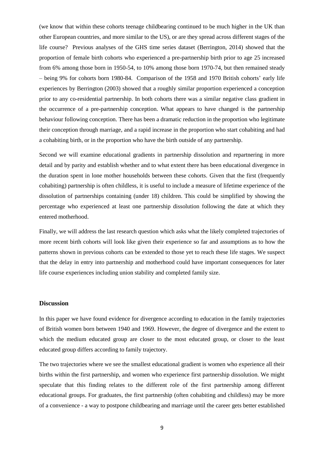(we know that within these cohorts teenage childbearing continued to be much higher in the UK than other European countries, and more similar to the US), or are they spread across different stages of the life course? Previous analyses of the GHS time series dataset (Berrington, 2014) showed that the proportion of female birth cohorts who experienced a pre-partnership birth prior to age 25 increased from 6% among those born in 1950-54, to 10% among those born 1970-74, but then remained steady – being 9% for cohorts born 1980-84. Comparison of the 1958 and 1970 British cohorts' early life experiences by Berrington (2003) showed that a roughly similar proportion experienced a conception prior to any co-residential partnership. In both cohorts there was a similar negative class gradient in the occurrence of a pre-partnership conception. What appears to have changed is the partnership behaviour following conception. There has been a dramatic reduction in the proportion who legitimate their conception through marriage, and a rapid increase in the proportion who start cohabiting and had a cohabiting birth, or in the proportion who have the birth outside of any partnership.

Second we will examine educational gradients in partnership dissolution and repartnering in more detail and by parity and establish whether and to what extent there has been educational divergence in the duration spent in lone mother households between these cohorts. Given that the first (frequently cohabiting) partnership is often childless, it is useful to include a measure of lifetime experience of the dissolution of partnerships containing (under 18) children. This could be simplified by showing the percentage who experienced at least one partnership dissolution following the date at which they entered motherhood.

Finally, we will address the last research question which asks what the likely completed trajectories of more recent birth cohorts will look like given their experience so far and assumptions as to how the patterns shown in previous cohorts can be extended to those yet to reach these life stages. We suspect that the delay in entry into partnership and motherhood could have important consequences for later life course experiences including union stability and completed family size.

### **Discussion**

In this paper we have found evidence for divergence according to education in the family trajectories of British women born between 1940 and 1969. However, the degree of divergence and the extent to which the medium educated group are closer to the most educated group, or closer to the least educated group differs according to family trajectory.

The two trajectories where we see the smallest educational gradient is women who experience all their births within the first partnership, and women who experience first partnership dissolution. We might speculate that this finding relates to the different role of the first partnership among different educational groups. For graduates, the first partnership (often cohabiting and childless) may be more of a convenience - a way to postpone childbearing and marriage until the career gets better established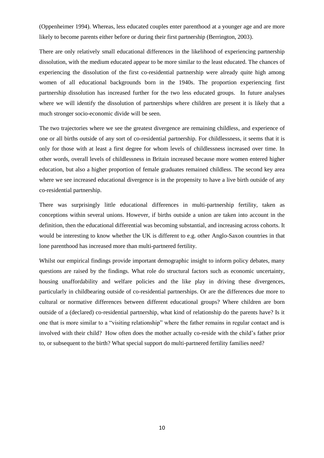(Oppenheimer 1994). Whereas, less educated couples enter parenthood at a younger age and are more likely to become parents either before or during their first partnership (Berrington, 2003).

There are only relatively small educational differences in the likelihood of experiencing partnership dissolution, with the medium educated appear to be more similar to the least educated. The chances of experiencing the dissolution of the first co-residential partnership were already quite high among women of all educational backgrounds born in the 1940s. The proportion experiencing first partnership dissolution has increased further for the two less educated groups. In future analyses where we will identify the dissolution of partnerships where children are present it is likely that a much stronger socio-economic divide will be seen.

The two trajectories where we see the greatest divergence are remaining childless, and experience of one or all births outside of any sort of co-residential partnership. For childlessness, it seems that it is only for those with at least a first degree for whom levels of childlessness increased over time. In other words, overall levels of childlessness in Britain increased because more women entered higher education, but also a higher proportion of female graduates remained childless. The second key area where we see increased educational divergence is in the propensity to have a live birth outside of any co-residential partnership.

There was surprisingly little educational differences in multi-partnership fertility, taken as conceptions within several unions. However, if births outside a union are taken into account in the definition, then the educational differential was becoming substantial, and increasing across cohorts. It would be interesting to know whether the UK is different to e.g. other Anglo-Saxon countries in that lone parenthood has increased more than multi-partnered fertility.

Whilst our empirical findings provide important demographic insight to inform policy debates, many questions are raised by the findings. What role do structural factors such as economic uncertainty, housing unaffordability and welfare policies and the like play in driving these divergences, particularly in childbearing outside of co-residential partnerships. Or are the differences due more to cultural or normative differences between different educational groups? Where children are born outside of a (declared) co-residential partnership, what kind of relationship do the parents have? Is it one that is more similar to a "visiting relationship" where the father remains in regular contact and is involved with their child? How often does the mother actually co-reside with the child's father prior to, or subsequent to the birth? What special support do multi-partnered fertility families need?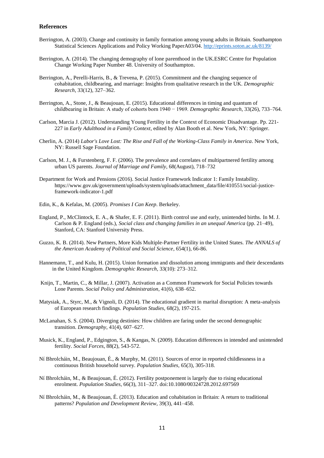### **References**

- Berrington, A. (2003). Change and continuity in family formation among young adults in Britain. Southampton Statistical Sciences Applications and Policy Working PaperA03/04.<http://eprints.soton.ac.uk/8139/>
- Berrington, A. (2014). The changing demography of lone parenthood in the UK.ESRC Centre for Population Change Working Paper Number 48. University of Southampton.
- Berrington, A., Perelli-Harris, B., & Trevena, P. (2015). Commitment and the changing sequence of cohabitation, childbearing, and marriage: Insights from qualitative research in the UK. *Demographic Research*, 33(12), 327–362.
- Berrington, A., Stone, J., & Beaujouan, E. (2015). Educational differences in timing and quantum of childbearing in Britain: A study of cohorts born 1940 − 1969. *Demographic Research,* 33(26), 733–764.
- Carlson, Marcia J. (2012). Understanding Young Fertility in the Context of Economic Disadvantage. Pp. 221- 227 in *Early Adulthood in a Family Context*, edited by Alan Booth et al. New York, NY: Springer.
- Cherlin, A. (2014) *Labor's Love Lost: The Rise and Fall of the Working-Class Family in America*. New York, NY: Russell Sage Foundation.
- Carlson, M. J., & Furstenberg, F. F. (2006). The prevalence and correlates of multipartnered fertility among urban US parents. *Journal of Marriage and Family*, 68(August), 718–732
- Department for Work and Pensions (2016). Social Justice Framework Indicator 1: Family Instability. https://www.gov.uk/government/uploads/system/uploads/attachment\_data/file/410551/social-justiceframework-indicator-1.pdf
- Edin, K., & Kefalas, M. (2005). *Promises I Can Keep*. Berkeley.
- England, P., McClintock, E. A., & Shafer, E. F. (2011). Birth control use and early, unintended births. In M. J. Carlson & P. England (eds.), *Social class and changing families in an unequal America* (pp. 21–49), Stanford, CA: Stanford University Press.
- Guzzo, K. B. (2014). New Partners, More Kids Multiple-Partner Fertility in the United States. *The ANNALS of the American Academy of Political and Social Science*, 654(1), 66-86.
- Hannemann, T., and Kulu, H. (2015). Union formation and dissolution among immigrants and their descendants in the United Kingdom. *Demographic Research,* 33(10): 273–312.
- Knijn, T., Martin, C., & Millar, J. (2007). Activation as a Common Framework for Social Policies towards Lone Parents. *Social Policy and Administration*, 41(6), 638–652.
- Matysiak, A., Styrc, M., & Vignoli, D. (2014). The educational gradient in marital disruption: A meta-analysis of European research findings. *Population Studies,* 68(2), 197-215.
- McLanahan, S. S. (2004). Diverging destinies: How children are faring under the second demographic transition. *Demography*, 41(4), 607–627.
- Musick, K., England, P., Edgington, S., & Kangas, N. (2009). Education differences in intended and unintended fertility. *Social Forces*, 88(2), 543-572.
- Ní Bhrolcháin, M., Beaujouan, É., & Murphy, M. (2011). Sources of error in reported childlessness in a continuous British household survey. *Population Studies,* 65(3), 305-318.
- Ní Bhrolcháin, M., & Beaujouan, É. (2012). Fertility postponement is largely due to rising educational enrolment. *Population Studies*, 66(3), 311–327. doi:10.1080/00324728.2012.697569
- Ní Bhrolcháin, M., & Beaujouan, É. (2013). Education and cohabitation in Britain: A return to traditional patterns? *Population and Development Review*, 39(3), 441–458.